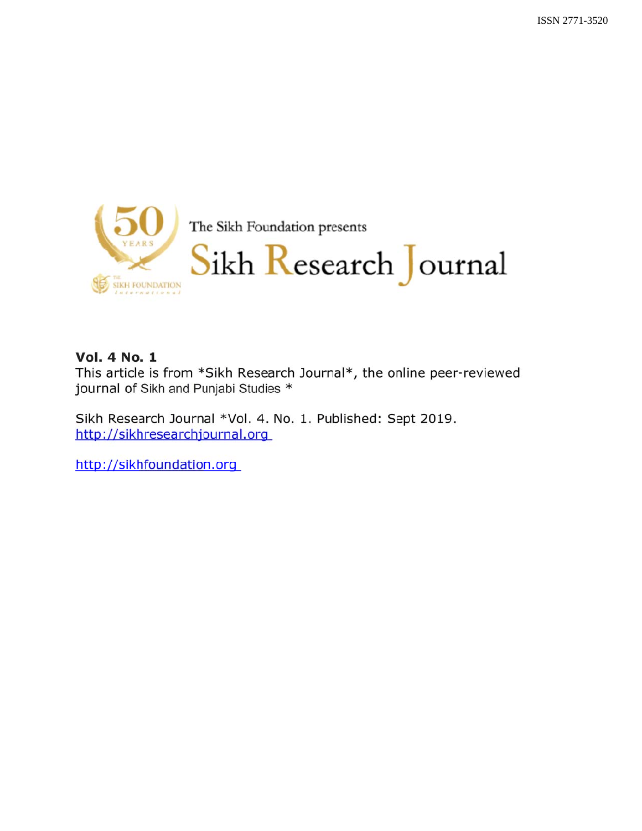

## **Vol. 4 No. 1**

This article is from \*Sikh Research Journal\*, the online peer-reviewed journal of Sikh and Punjabi Studies \*

Sikh Research Journal \*Vol. 4. No. 1. Published: Sept 2019. http://sikhresearchjournal.org

http://sikhfoundation.org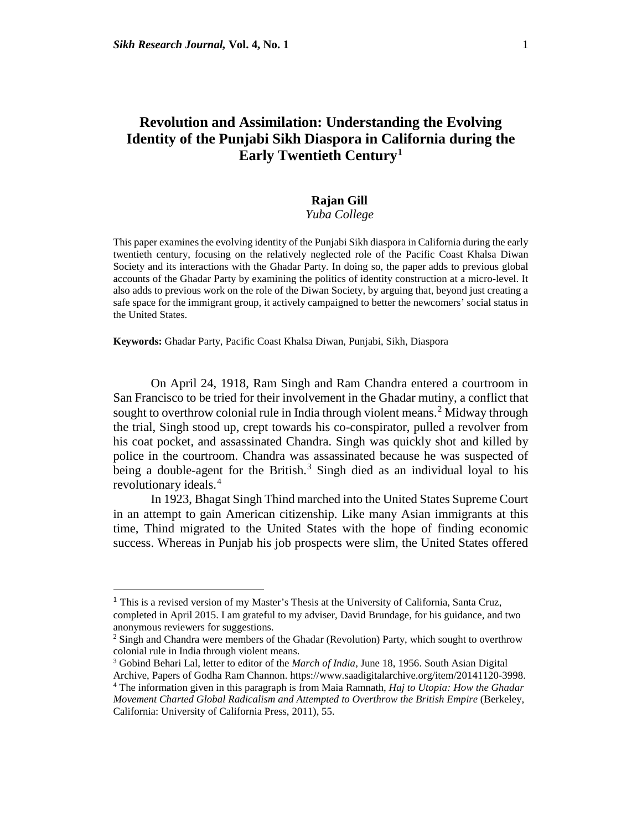## **Revolution and Assimilation: Understanding the Evolving Identity of the Punjabi Sikh Diaspora in California during the Early Twentieth Centur[y1](#page-20-0)**

# **Rajan Gill**

### *Yuba College*

This paper examines the evolving identity of the Punjabi Sikh diaspora in California during the early twentieth century, focusing on the relatively neglected role of the Pacific Coast Khalsa Diwan Society and its interactions with the Ghadar Party. In doing so, the paper adds to previous global accounts of the Ghadar Party by examining the politics of identity construction at a micro-level. It also adds to previous work on the role of the Diwan Society, by arguing that, beyond just creating a safe space for the immigrant group, it actively campaigned to better the newcomers' social status in the United States.

**Keywords:** Ghadar Party, Pacific Coast Khalsa Diwan, Punjabi, Sikh, Diaspora

On April 24, 1918, Ram Singh and Ram Chandra entered a courtroom in San Francisco to be tried for their involvement in the Ghadar mutiny, a conflict that sought to overthrow colonial rule in India through violent means.<sup>[2](#page-1-0)</sup> Midway through the trial, Singh stood up, crept towards his co-conspirator, pulled a revolver from his coat pocket, and assassinated Chandra. Singh was quickly shot and killed by police in the courtroom. Chandra was assassinated because he was suspected of being a double-agent for the British.<sup>[3](#page-1-1)</sup> Singh died as an individual loyal to his revolutionary ideals.<sup>[4](#page-1-2)</sup>

In 1923, Bhagat Singh Thind marched into the United States Supreme Court in an attempt to gain American citizenship. Like many Asian immigrants at this time, Thind migrated to the United States with the hope of finding economic success. Whereas in Punjab his job prospects were slim, the United States offered

 $<sup>1</sup>$  This is a revised version of my Master's Thesis at the University of California, Santa Cruz,</sup> completed in April 2015. I am grateful to my adviser, David Brundage, for his guidance, and two anonymous reviewers for suggestions.

<span id="page-1-0"></span><sup>&</sup>lt;sup>2</sup> Singh and Chandra were members of the Ghadar (Revolution) Party, which sought to overthrow colonial rule in India through violent means.

<sup>3</sup> Gobind Behari Lal, letter to editor of the *March of India,* June 18, 1956. South Asian Digital

<span id="page-1-2"></span><span id="page-1-1"></span>Archive, Papers of Godha Ram Channon. https://www.saadigitalarchive.org/item/20141120-3998. 4 The information given in this paragraph is from Maia Ramnath, *Haj to Utopia: How the Ghadar Movement Charted Global Radicalism and Attempted to Overthrow the British Empire* (Berkeley, California: University of California Press, 2011), 55.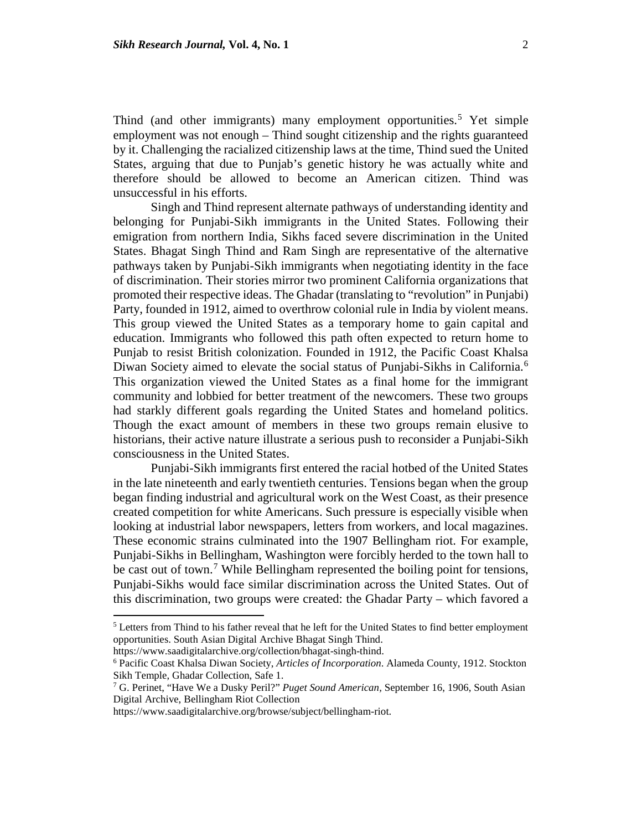Thind (and other immigrants) many employment opportunities.<sup>[5](#page-2-0)</sup> Yet simple employment was not enough – Thind sought citizenship and the rights guaranteed

by it. Challenging the racialized citizenship laws at the time, Thind sued the United States, arguing that due to Punjab's genetic history he was actually white and therefore should be allowed to become an American citizen. Thind was unsuccessful in his efforts.

Singh and Thind represent alternate pathways of understanding identity and belonging for Punjabi-Sikh immigrants in the United States. Following their emigration from northern India, Sikhs faced severe discrimination in the United States. Bhagat Singh Thind and Ram Singh are representative of the alternative pathways taken by Punjabi-Sikh immigrants when negotiating identity in the face of discrimination. Their stories mirror two prominent California organizations that promoted their respective ideas. The Ghadar (translating to "revolution" in Punjabi) Party, founded in 1912, aimed to overthrow colonial rule in India by violent means. This group viewed the United States as a temporary home to gain capital and education. Immigrants who followed this path often expected to return home to Punjab to resist British colonization. Founded in 1912, the Pacific Coast Khalsa Diwan Society aimed to elevate the social status of Punjabi-Sikhs in California.<sup>[6](#page-2-1)</sup> This organization viewed the United States as a final home for the immigrant community and lobbied for better treatment of the newcomers. These two groups had starkly different goals regarding the United States and homeland politics. Though the exact amount of members in these two groups remain elusive to historians, their active nature illustrate a serious push to reconsider a Punjabi-Sikh consciousness in the United States.

Punjabi-Sikh immigrants first entered the racial hotbed of the United States in the late nineteenth and early twentieth centuries. Tensions began when the group began finding industrial and agricultural work on the West Coast, as their presence created competition for white Americans. Such pressure is especially visible when looking at industrial labor newspapers, letters from workers, and local magazines. These economic strains culminated into the 1907 Bellingham riot. For example, Punjabi-Sikhs in Bellingham, Washington were forcibly herded to the town hall to be cast out of town.<sup>[7](#page-2-2)</sup> While Bellingham represented the boiling point for tensions, Punjabi-Sikhs would face similar discrimination across the United States. Out of this discrimination, two groups were created: the Ghadar Party – which favored a

<span id="page-2-0"></span><sup>&</sup>lt;sup>5</sup> Letters from Thind to his father reveal that he left for the United States to find better employment opportunities. South Asian Digital Archive Bhagat Singh Thind.

<span id="page-2-1"></span>

https://www.saadigitalarchive.org/collection/bhagat-singh-thind. 6 Pacific Coast Khalsa Diwan Society, *Articles of Incorporation*. Alameda County, 1912. Stockton Sikh Temple, Ghadar Collection, Safe 1.

<span id="page-2-2"></span><sup>7</sup> G. Perinet, "Have We a Dusky Peril?" *Puget Sound American,* September 16, 1906, South Asian Digital Archive, Bellingham Riot Collection

https://www.saadigitalarchive.org/browse/subject/bellingham-riot.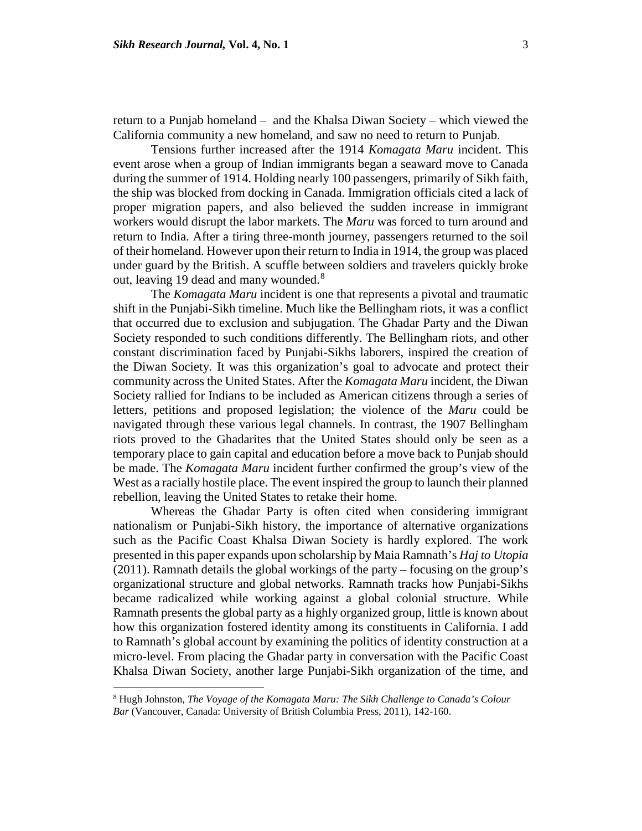return to a Punjab homeland – and the Khalsa Diwan Society – which viewed the California community a new homeland, and saw no need to return to Punjab.

Tensions further increased after the 1914 *Komagata Maru* incident. This event arose when a group of Indian immigrants began a seaward move to Canada during the summer of 1914. Holding nearly 100 passengers, primarily of Sikh faith, the ship was blocked from docking in Canada. Immigration officials cited a lack of proper migration papers, and also believed the sudden increase in immigrant workers would disrupt the labor markets. The *Maru* was forced to turn around and return to India. After a tiring three-month journey, passengers returned to the soil of their homeland. However upon their return to India in 1914, the group was placed under guard by the British. A scuffle between soldiers and travelers quickly broke out, leaving 19 dead and many wounded.<sup>[8](#page-3-0)</sup>

The *Komagata Maru* incident is one that represents a pivotal and traumatic shift in the Punjabi-Sikh timeline. Much like the Bellingham riots, it was a conflict that occurred due to exclusion and subjugation. The Ghadar Party and the Diwan Society responded to such conditions differently. The Bellingham riots, and other constant discrimination faced by Punjabi-Sikhs laborers, inspired the creation of the Diwan Society. It was this organization's goal to advocate and protect their community across the United States. After the *Komagata Maru* incident, the Diwan Society rallied for Indians to be included as American citizens through a series of letters, petitions and proposed legislation; the violence of the *Maru* could be navigated through these various legal channels. In contrast, the 1907 Bellingham riots proved to the Ghadarites that the United States should only be seen as a temporary place to gain capital and education before a move back to Punjab should be made. The *Komagata Maru* incident further confirmed the group's view of the West as a racially hostile place. The event inspired the group to launch their planned rebellion, leaving the United States to retake their home.

Whereas the Ghadar Party is often cited when considering immigrant nationalism or Punjabi-Sikh history, the importance of alternative organizations such as the Pacific Coast Khalsa Diwan Society is hardly explored. The work presented in this paper expands upon scholarship by Maia Ramnath's *Haj to Utopia* (2011). Ramnath details the global workings of the party – focusing on the group's organizational structure and global networks. Ramnath tracks how Punjabi-Sikhs became radicalized while working against a global colonial structure. While Ramnath presents the global party as a highly organized group, little is known about how this organization fostered identity among its constituents in California. I add to Ramnath's global account by examining the politics of identity construction at a micro-level. From placing the Ghadar party in conversation with the Pacific Coast Khalsa Diwan Society, another large Punjabi-Sikh organization of the time, and

l

<span id="page-3-0"></span><sup>8</sup> Hugh Johnston, *The Voyage of the Komagata Maru: The Sikh Challenge to Canada's Colour Bar* (Vancouver, Canada: University of British Columbia Press, 2011), 142-160.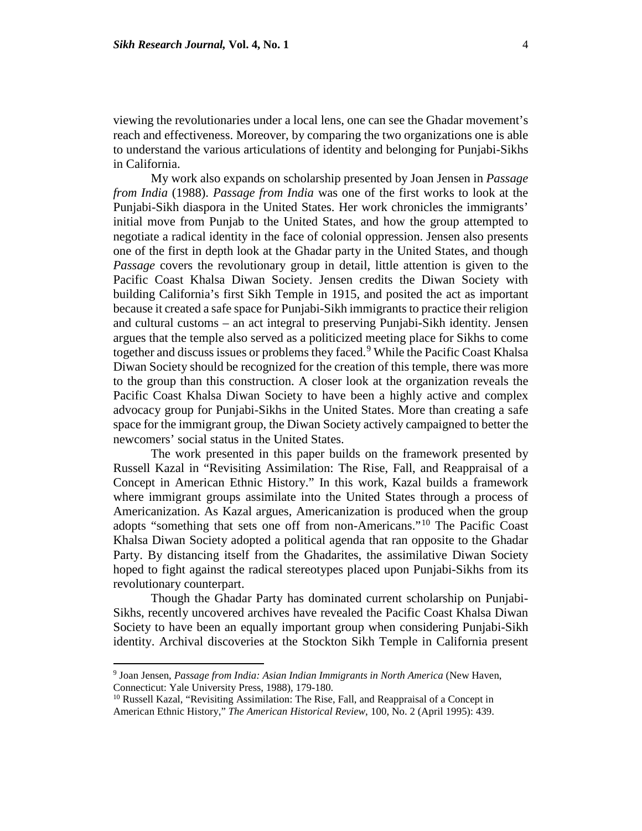viewing the revolutionaries under a local lens, one can see the Ghadar movement's reach and effectiveness. Moreover, by comparing the two organizations one is able to understand the various articulations of identity and belonging for Punjabi-Sikhs in California.

My work also expands on scholarship presented by Joan Jensen in *Passage from India* (1988). *Passage from India* was one of the first works to look at the Punjabi-Sikh diaspora in the United States. Her work chronicles the immigrants' initial move from Punjab to the United States, and how the group attempted to negotiate a radical identity in the face of colonial oppression. Jensen also presents one of the first in depth look at the Ghadar party in the United States, and though *Passage* covers the revolutionary group in detail, little attention is given to the Pacific Coast Khalsa Diwan Society. Jensen credits the Diwan Society with building California's first Sikh Temple in 1915, and posited the act as important because it created a safe space for Punjabi-Sikh immigrants to practice their religion and cultural customs – an act integral to preserving Punjabi-Sikh identity. Jensen argues that the temple also served as a politicized meeting place for Sikhs to come together and discuss issues or problems they faced.<sup>[9](#page-4-0)</sup> While the Pacific Coast Khalsa Diwan Society should be recognized for the creation of this temple, there was more to the group than this construction. A closer look at the organization reveals the Pacific Coast Khalsa Diwan Society to have been a highly active and complex advocacy group for Punjabi-Sikhs in the United States. More than creating a safe space for the immigrant group, the Diwan Society actively campaigned to better the newcomers' social status in the United States.

The work presented in this paper builds on the framework presented by Russell Kazal in "Revisiting Assimilation: The Rise, Fall, and Reappraisal of a Concept in American Ethnic History." In this work, Kazal builds a framework where immigrant groups assimilate into the United States through a process of Americanization. As Kazal argues, Americanization is produced when the group adopts "something that sets one off from non-Americans."[10](#page-4-1) The Pacific Coast Khalsa Diwan Society adopted a political agenda that ran opposite to the Ghadar Party. By distancing itself from the Ghadarites, the assimilative Diwan Society hoped to fight against the radical stereotypes placed upon Punjabi-Sikhs from its revolutionary counterpart.

Though the Ghadar Party has dominated current scholarship on Punjabi-Sikhs, recently uncovered archives have revealed the Pacific Coast Khalsa Diwan Society to have been an equally important group when considering Punjabi-Sikh identity. Archival discoveries at the Stockton Sikh Temple in California present

l

<span id="page-4-0"></span><sup>9</sup> Joan Jensen, *Passage from India: Asian Indian Immigrants in North America* (New Haven, Connecticut: Yale University Press, 1988), 179-180.<br><sup>10</sup> Russell Kazal, "Revisiting Assimilation: The Rise, Fall, and Reappraisal of a Concept in

<span id="page-4-1"></span>American Ethnic History," *The American Historical Review*, 100, No. 2 (April 1995): 439.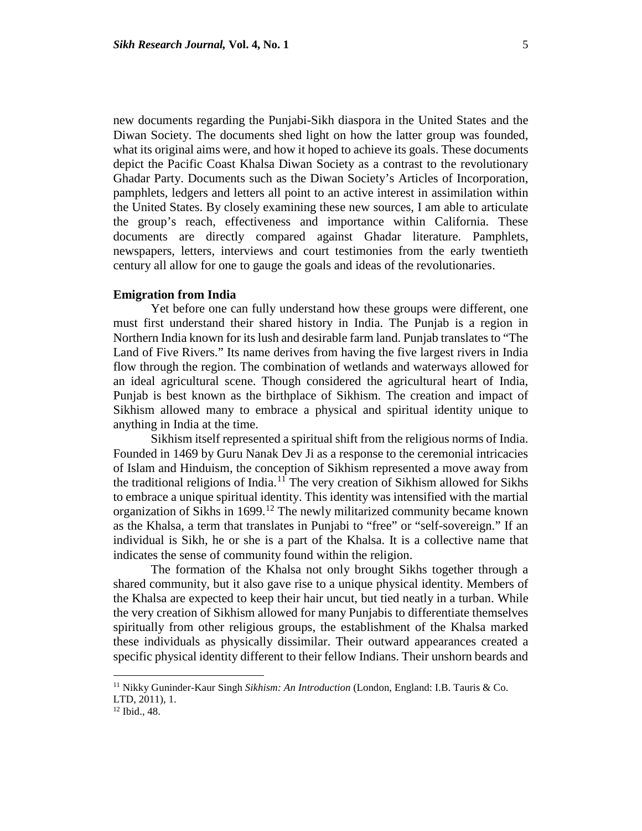new documents regarding the Punjabi-Sikh diaspora in the United States and the Diwan Society. The documents shed light on how the latter group was founded, what its original aims were, and how it hoped to achieve its goals. These documents depict the Pacific Coast Khalsa Diwan Society as a contrast to the revolutionary Ghadar Party. Documents such as the Diwan Society's Articles of Incorporation, pamphlets, ledgers and letters all point to an active interest in assimilation within the United States. By closely examining these new sources, I am able to articulate the group's reach, effectiveness and importance within California. These documents are directly compared against Ghadar literature. Pamphlets, newspapers, letters, interviews and court testimonies from the early twentieth century all allow for one to gauge the goals and ideas of the revolutionaries.

#### **Emigration from India**

Yet before one can fully understand how these groups were different, one must first understand their shared history in India. The Punjab is a region in Northern India known for its lush and desirable farm land. Punjab translates to "The Land of Five Rivers." Its name derives from having the five largest rivers in India flow through the region. The combination of wetlands and waterways allowed for an ideal agricultural scene. Though considered the agricultural heart of India, Punjab is best known as the birthplace of Sikhism. The creation and impact of Sikhism allowed many to embrace a physical and spiritual identity unique to anything in India at the time.

Sikhism itself represented a spiritual shift from the religious norms of India. Founded in 1469 by Guru Nanak Dev Ji as a response to the ceremonial intricacies of Islam and Hinduism, the conception of Sikhism represented a move away from the traditional religions of India.[11](#page-5-0) The very creation of Sikhism allowed for Sikhs to embrace a unique spiritual identity. This identity was intensified with the martial organization of Sikhs in 1699.<sup>[12](#page-5-1)</sup> The newly militarized community became known as the Khalsa, a term that translates in Punjabi to "free" or "self-sovereign." If an individual is Sikh, he or she is a part of the Khalsa. It is a collective name that indicates the sense of community found within the religion.

The formation of the Khalsa not only brought Sikhs together through a shared community, but it also gave rise to a unique physical identity. Members of the Khalsa are expected to keep their hair uncut, but tied neatly in a turban. While the very creation of Sikhism allowed for many Punjabis to differentiate themselves spiritually from other religious groups, the establishment of the Khalsa marked these individuals as physically dissimilar. Their outward appearances created a specific physical identity different to their fellow Indians. Their unshorn beards and

<span id="page-5-0"></span><sup>11</sup> Nikky Guninder-Kaur Singh *Sikhism: An Introduction* (London, England: I.B. Tauris & Co. LTD, 2011), 1.<br><sup>12</sup> Ibid., 48.

<span id="page-5-1"></span>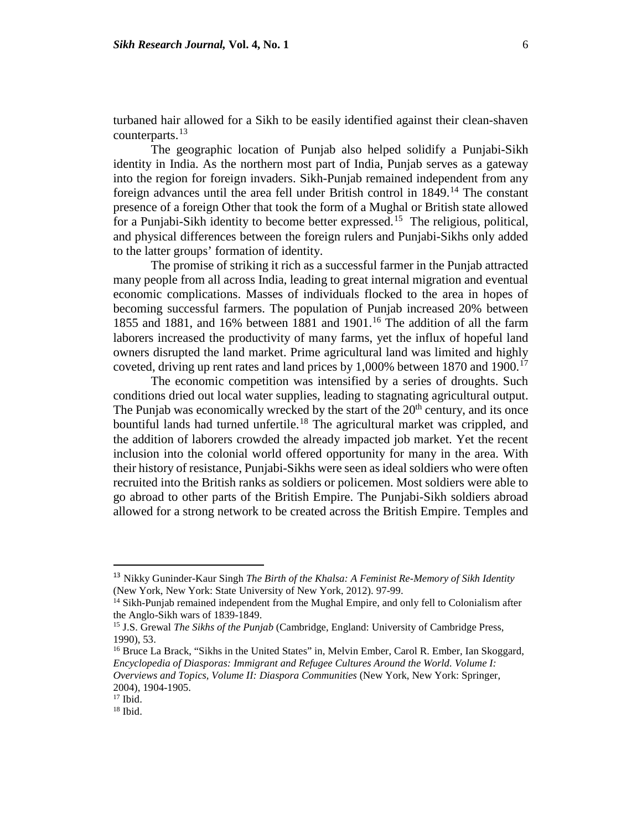turbaned hair allowed for a Sikh to be easily identified against their clean-shaven counterparts. $^{13}$  $^{13}$  $^{13}$ 

The geographic location of Punjab also helped solidify a Punjabi-Sikh identity in India. As the northern most part of India, Punjab serves as a gateway into the region for foreign invaders. Sikh-Punjab remained independent from any foreign advances until the area fell under British control in  $1849$ .<sup>[14](#page-6-1)</sup> The constant presence of a foreign Other that took the form of a Mughal or British state allowed for a Punjabi-Sikh identity to become better expressed.[15](#page-6-2) The religious, political, and physical differences between the foreign rulers and Punjabi-Sikhs only added to the latter groups' formation of identity.

The promise of striking it rich as a successful farmer in the Punjab attracted many people from all across India, leading to great internal migration and eventual economic complications. Masses of individuals flocked to the area in hopes of becoming successful farmers. The population of Punjab increased 20% between 1855 and 1881, and [16](#page-6-3)% between 1881 and 1901.<sup>16</sup> The addition of all the farm laborers increased the productivity of many farms, yet the influx of hopeful land owners disrupted the land market. Prime agricultural land was limited and highly coveted, driving up rent rates and land prices by  $1,000\%$  between 1870 and 1900.<sup>[17](#page-6-4)</sup>

The economic competition was intensified by a series of droughts. Such conditions dried out local water supplies, leading to stagnating agricultural output. The Punjab was economically wrecked by the start of the  $20<sup>th</sup>$  century, and its once bountiful lands had turned unfertile.<sup>[18](#page-6-5)</sup> The agricultural market was crippled, and the addition of laborers crowded the already impacted job market. Yet the recent inclusion into the colonial world offered opportunity for many in the area. With their history of resistance, Punjabi-Sikhs were seen as ideal soldiers who were often recruited into the British ranks as soldiers or policemen. Most soldiers were able to go abroad to other parts of the British Empire. The Punjabi-Sikh soldiers abroad allowed for a strong network to be created across the British Empire. Temples and

<span id="page-6-0"></span> <sup>13</sup> Nikky Guninder-Kaur Singh *The Birth of the Khalsa: A Feminist Re-Memory of Sikh Identity* (New York, New York: State University of New York, 2012). 97-99.

<span id="page-6-1"></span><sup>&</sup>lt;sup>14</sup> Sikh-Punjab remained independent from the Mughal Empire, and only fell to Colonialism after the Anglo-Sikh wars of 1839-1849.<br><sup>15</sup> J.S. Grewal *The Sikhs of the Punjab* (Cambridge, England: University of Cambridge Press,

<span id="page-6-2"></span><sup>1990),</sup> 53.

<span id="page-6-3"></span><sup>16</sup> Bruce La Brack, "Sikhs in the United States" in, Melvin Ember, Carol R. Ember, Ian Skoggard, *Encyclopedia of Diasporas: Immigrant and Refugee Cultures Around the World. Volume I: Overviews and Topics, Volume II: Diaspora Communities* (New York, New York: Springer, 2004), 1904-1905.

<span id="page-6-4"></span> $17$  Ibid.

<span id="page-6-5"></span><sup>18</sup> Ibid.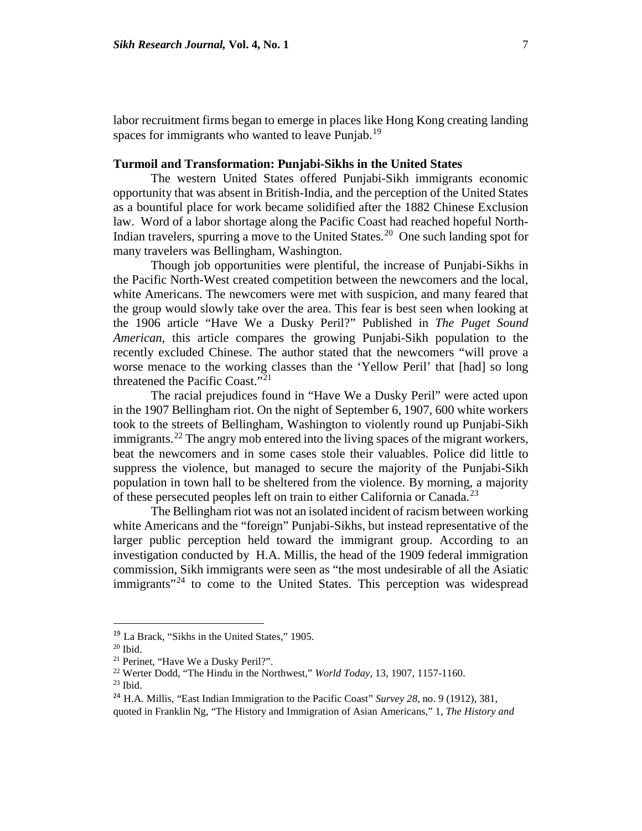labor recruitment firms began to emerge in places like Hong Kong creating landing spaces for immigrants who wanted to leave Punjab.<sup>[19](#page-7-0)</sup>

#### **Turmoil and Transformation: Punjabi-Sikhs in the United States**

The western United States offered Punjabi-Sikh immigrants economic opportunity that was absent in British-India, and the perception of the United States as a bountiful place for work became solidified after the 1882 Chinese Exclusion law. Word of a labor shortage along the Pacific Coast had reached hopeful North-Indian travelers, spurring a move to the United States.<sup>20</sup> One such landing spot for many travelers was Bellingham, Washington.

Though job opportunities were plentiful, the increase of Punjabi-Sikhs in the Pacific North-West created competition between the newcomers and the local, white Americans. The newcomers were met with suspicion, and many feared that the group would slowly take over the area. This fear is best seen when looking at the 1906 article "Have We a Dusky Peril?" Published in *The Puget Sound American*, this article compares the growing Punjabi-Sikh population to the recently excluded Chinese. The author stated that the newcomers "will prove a worse menace to the working classes than the 'Yellow Peril' that [had] so long threatened the Pacific Coast."[21](#page-7-2)

The racial prejudices found in "Have We a Dusky Peril" were acted upon in the 1907 Bellingham riot. On the night of September 6, 1907, 600 white workers took to the streets of Bellingham, Washington to violently round up Punjabi-Sikh immigrants.<sup>[22](#page-7-3)</sup> The angry mob entered into the living spaces of the migrant workers, beat the newcomers and in some cases stole their valuables. Police did little to suppress the violence, but managed to secure the majority of the Punjabi-Sikh population in town hall to be sheltered from the violence. By morning, a majority of these persecuted peoples left on train to either California or Canada.<sup>[23](#page-7-4)</sup>

The Bellingham riot was not an isolated incident of racism between working white Americans and the "foreign" Punjabi-Sikhs, but instead representative of the larger public perception held toward the immigrant group. According to an investigation conducted by H.A. Millis, the head of the 1909 federal immigration commission, Sikh immigrants were seen as "the most undesirable of all the Asiatic immigrants<sup>"[24](#page-7-5)</sup> to come to the United States. This perception was widespread

quoted in Franklin Ng, "The History and Immigration of Asian Americans," 1, *The History and* 

<span id="page-7-0"></span> <sup>19</sup> La Brack, "Sikhs in the United States," 1905.

<span id="page-7-1"></span> $20$  Ibid.

<span id="page-7-3"></span><span id="page-7-2"></span><sup>&</sup>lt;sup>21</sup> Perinet, "Have We a Dusky Peril?".

<sup>22</sup> Werter Dodd, "The Hindu in the Northwest," *World Today*, 13, 1907, 1157-1160.

<span id="page-7-4"></span> $23$  Ibid.

<span id="page-7-5"></span><sup>&</sup>lt;sup>24</sup> H.A. Millis, "East Indian Immigration to the Pacific Coast" *Survey* 28, no. 9 (1912), 381,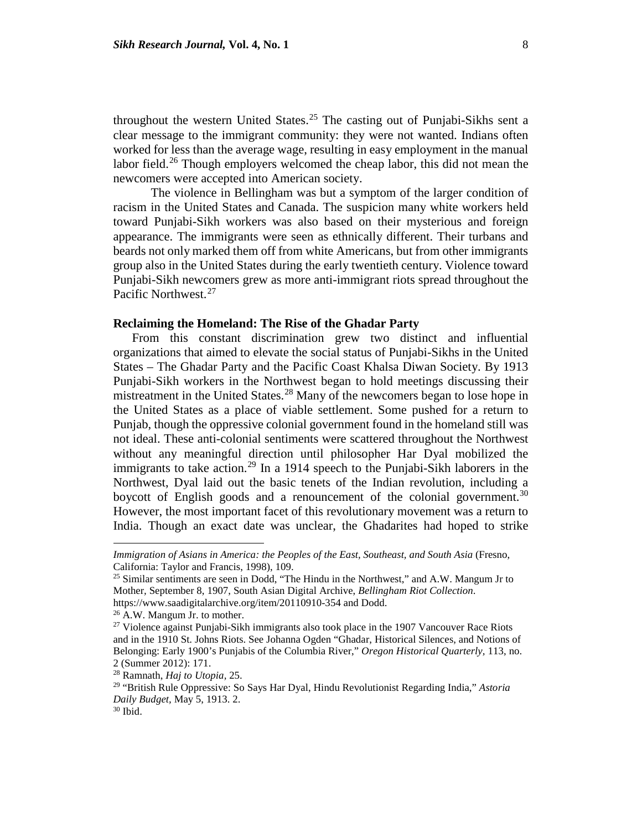throughout the western United States.<sup>[25](#page-8-0)</sup> The casting out of Punjabi-Sikhs sent a clear message to the immigrant community: they were not wanted. Indians often worked for less than the average wage, resulting in easy employment in the manual labor field.<sup>[26](#page-8-1)</sup> Though employers welcomed the cheap labor, this did not mean the newcomers were accepted into American society.

The violence in Bellingham was but a symptom of the larger condition of racism in the United States and Canada. The suspicion many white workers held toward Punjabi-Sikh workers was also based on their mysterious and foreign appearance. The immigrants were seen as ethnically different. Their turbans and beards not only marked them off from white Americans, but from other immigrants group also in the United States during the early twentieth century. Violence toward Punjabi-Sikh newcomers grew as more anti-immigrant riots spread throughout the Pacific Northwest.<sup>[27](#page-8-2)</sup>

#### **Reclaiming the Homeland: The Rise of the Ghadar Party**

From this constant discrimination grew two distinct and influential organizations that aimed to elevate the social status of Punjabi-Sikhs in the United States – The Ghadar Party and the Pacific Coast Khalsa Diwan Society. By 1913 Punjabi-Sikh workers in the Northwest began to hold meetings discussing their mistreatment in the United States.<sup>[28](#page-8-3)</sup> Many of the newcomers began to lose hope in the United States as a place of viable settlement. Some pushed for a return to Punjab, though the oppressive colonial government found in the homeland still was not ideal. These anti-colonial sentiments were scattered throughout the Northwest without any meaningful direction until philosopher Har Dyal mobilized the immigrants to take action.<sup>[29](#page-8-4)</sup> In a 1914 speech to the Punjabi-Sikh laborers in the Northwest, Dyal laid out the basic tenets of the Indian revolution, including a boycott of English goods and a renouncement of the colonial government.<sup>[30](#page-8-5)</sup> However, the most important facet of this revolutionary movement was a return to India. Though an exact date was unclear, the Ghadarites had hoped to strike

*Immigration of Asians in America: the Peoples of the East, Southeast, and South Asia (Fresno,* California: Taylor and Francis, 1998), 109.

<span id="page-8-0"></span><sup>&</sup>lt;sup>25</sup> Similar sentiments are seen in Dodd, "The Hindu in the Northwest," and A.W. Mangum Jr to Mother*,* September 8, 1907, South Asian Digital Archive, *Bellingham Riot Collection*. https://www.saadigitalarchive.org/item/20110910-354 and Dodd.

<sup>26</sup> A.W. Mangum Jr. to mother.

<span id="page-8-2"></span><span id="page-8-1"></span><sup>&</sup>lt;sup>27</sup> Violence against Punjabi-Sikh immigrants also took place in the 1907 Vancouver Race Riots and in the 1910 St. Johns Riots. See Johanna Ogden "Ghadar, Historical Silences, and Notions of Belonging: Early 1900's Punjabis of the Columbia River," *Oregon Historical Quarterly,* 113, no. 2 (Summer 2012): 171.

<span id="page-8-3"></span><sup>28</sup> Ramnath, *Haj to Utopia,* 25.

<span id="page-8-4"></span><sup>29</sup> "British Rule Oppressive: So Says Har Dyal, Hindu Revolutionist Regarding India," *Astoria Daily Budget,* May 5, 1913. 2. 30 Ibid.

<span id="page-8-5"></span>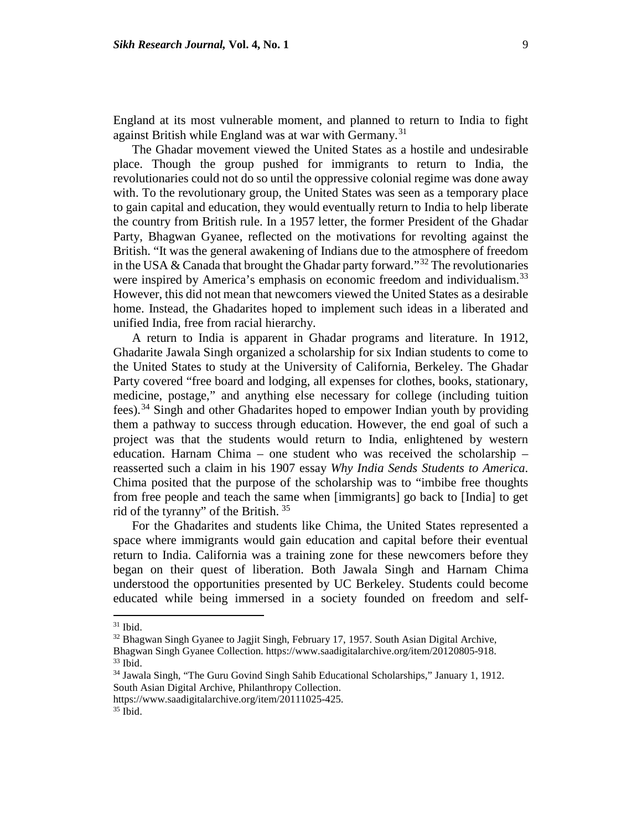England at its most vulnerable moment, and planned to return to India to fight against British while England was at war with Germany.<sup>[31](#page-9-0)</sup>

The Ghadar movement viewed the United States as a hostile and undesirable place. Though the group pushed for immigrants to return to India, the revolutionaries could not do so until the oppressive colonial regime was done away with. To the revolutionary group, the United States was seen as a temporary place to gain capital and education, they would eventually return to India to help liberate the country from British rule. In a 1957 letter, the former President of the Ghadar Party, Bhagwan Gyanee, reflected on the motivations for revolting against the British. "It was the general awakening of Indians due to the atmosphere of freedom in the USA & Canada that brought the Ghadar party forward."<sup>[32](#page-9-1)</sup> The revolutionaries were inspired by America's emphasis on economic freedom and individualism.<sup>[33](#page-9-2)</sup> However, this did not mean that newcomers viewed the United States as a desirable home. Instead, the Ghadarites hoped to implement such ideas in a liberated and unified India, free from racial hierarchy.

A return to India is apparent in Ghadar programs and literature. In 1912, Ghadarite Jawala Singh organized a scholarship for six Indian students to come to the United States to study at the University of California, Berkeley. The Ghadar Party covered "free board and lodging, all expenses for clothes, books, stationary, medicine, postage," and anything else necessary for college (including tuition fees).[34](#page-9-3) Singh and other Ghadarites hoped to empower Indian youth by providing them a pathway to success through education. However, the end goal of such a project was that the students would return to India, enlightened by western education. Harnam Chima – one student who was received the scholarship – reasserted such a claim in his 1907 essay *Why India Sends Students to America*. Chima posited that the purpose of the scholarship was to "imbibe free thoughts from free people and teach the same when [immigrants] go back to [India] to get rid of the tyranny" of the British. [35](#page-9-4)

For the Ghadarites and students like Chima, the United States represented a space where immigrants would gain education and capital before their eventual return to India. California was a training zone for these newcomers before they began on their quest of liberation. Both Jawala Singh and Harnam Chima understood the opportunities presented by UC Berkeley. Students could become educated while being immersed in a society founded on freedom and self-

 $\overline{\phantom{a}}$ 

<span id="page-9-4"></span>https://www.saadigitalarchive.org/item/20111025-425. 35 Ibid.

 $31$  Ibid.

<span id="page-9-1"></span><span id="page-9-0"></span><sup>&</sup>lt;sup>32</sup> Bhagwan Singh Gyanee to Jagjit Singh, February 17, 1957. South Asian Digital Archive, Bhagwan Singh Gyanee Collection. https://www.saadigitalarchive.org/item/20120805-918.<br><sup>33</sup> Ibid.

<span id="page-9-3"></span><span id="page-9-2"></span><sup>34</sup> Jawala Singh, "The Guru Govind Singh Sahib Educational Scholarships," January 1, 1912. South Asian Digital Archive, Philanthropy Collection.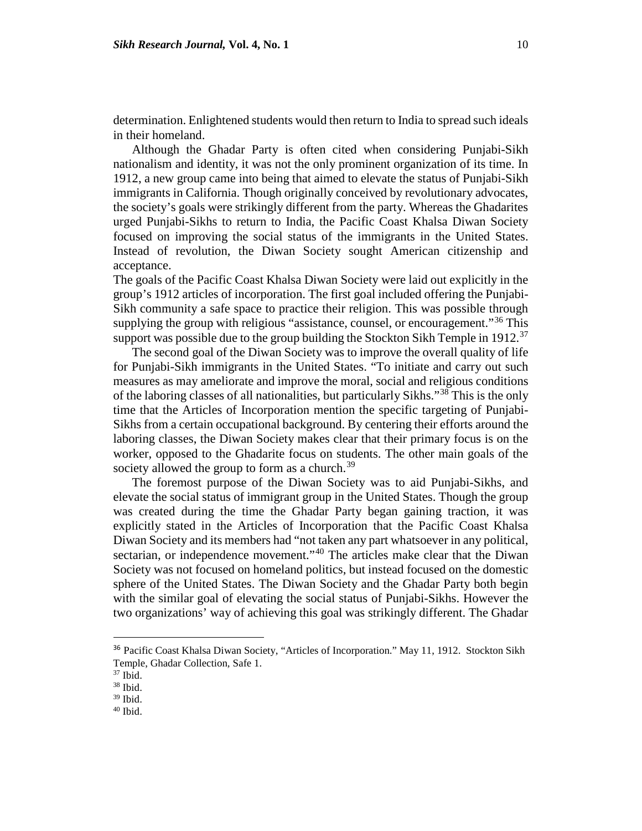determination. Enlightened students would then return to India to spread such ideals in their homeland.

Although the Ghadar Party is often cited when considering Punjabi-Sikh nationalism and identity, it was not the only prominent organization of its time. In 1912, a new group came into being that aimed to elevate the status of Punjabi-Sikh immigrants in California. Though originally conceived by revolutionary advocates, the society's goals were strikingly different from the party. Whereas the Ghadarites urged Punjabi-Sikhs to return to India, the Pacific Coast Khalsa Diwan Society focused on improving the social status of the immigrants in the United States. Instead of revolution, the Diwan Society sought American citizenship and acceptance.

The goals of the Pacific Coast Khalsa Diwan Society were laid out explicitly in the group's 1912 articles of incorporation. The first goal included offering the Punjabi-Sikh community a safe space to practice their religion. This was possible through supplying the group with religious "assistance, counsel, or encouragement."<sup>[36](#page-10-0)</sup> This support was possible due to the group building the Stockton Sikh Temple in 1912.<sup>[37](#page-10-1)</sup>

The second goal of the Diwan Society was to improve the overall quality of life for Punjabi-Sikh immigrants in the United States. "To initiate and carry out such measures as may ameliorate and improve the moral, social and religious conditions of the laboring classes of all nationalities, but particularly Sikhs."[38](#page-10-2) This is the only time that the Articles of Incorporation mention the specific targeting of Punjabi-Sikhs from a certain occupational background. By centering their efforts around the laboring classes, the Diwan Society makes clear that their primary focus is on the worker, opposed to the Ghadarite focus on students. The other main goals of the society allowed the group to form as a church.<sup>[39](#page-10-3)</sup>

The foremost purpose of the Diwan Society was to aid Punjabi-Sikhs, and elevate the social status of immigrant group in the United States. Though the group was created during the time the Ghadar Party began gaining traction, it was explicitly stated in the Articles of Incorporation that the Pacific Coast Khalsa Diwan Society and its members had "not taken any part whatsoever in any political, sectarian, or independence movement."<sup>[40](#page-10-4)</sup> The articles make clear that the Diwan Society was not focused on homeland politics, but instead focused on the domestic sphere of the United States. The Diwan Society and the Ghadar Party both begin with the similar goal of elevating the social status of Punjabi-Sikhs. However the two organizations' way of achieving this goal was strikingly different. The Ghadar

<span id="page-10-0"></span><sup>&</sup>lt;sup>36</sup> Pacific Coast Khalsa Diwan Society, "Articles of Incorporation." May 11, 1912. Stockton Sikh Temple, Ghadar Collection*,* Safe 1.

<span id="page-10-2"></span><span id="page-10-1"></span> $37$  Ibid.<br> $38$  Ibid.<br> $39$  Ibid.

<span id="page-10-4"></span><span id="page-10-3"></span>

 $40$  Ibid.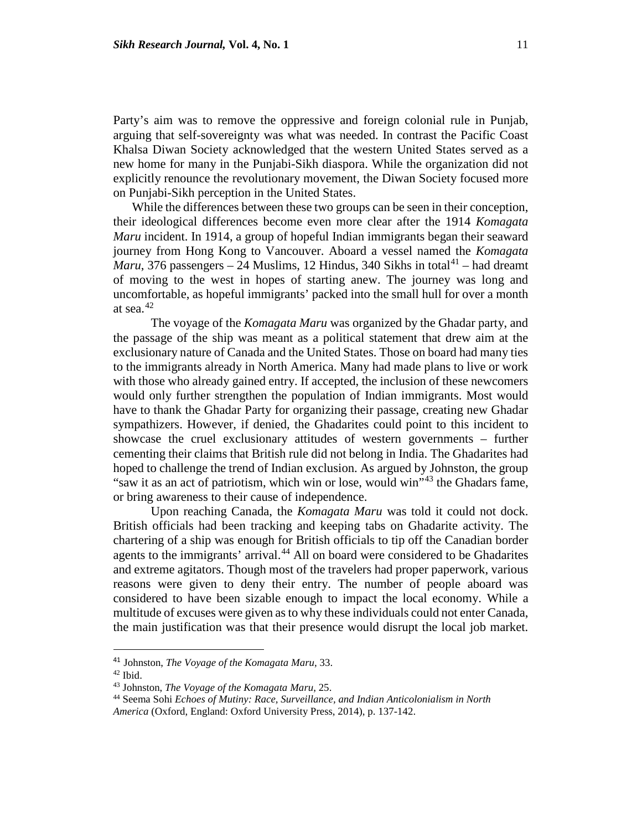Party's aim was to remove the oppressive and foreign colonial rule in Punjab, arguing that self-sovereignty was what was needed. In contrast the Pacific Coast Khalsa Diwan Society acknowledged that the western United States served as a new home for many in the Punjabi-Sikh diaspora. While the organization did not explicitly renounce the revolutionary movement, the Diwan Society focused more on Punjabi-Sikh perception in the United States.

While the differences between these two groups can be seen in their conception, their ideological differences become even more clear after the 1914 *Komagata Maru* incident. In 1914, a group of hopeful Indian immigrants began their seaward journey from Hong Kong to Vancouver. Aboard a vessel named the *Komagata Maru*, 376 passengers – 24 Muslims, 12 Hindus, 340 Sikhs in total<sup>[41](#page-11-0)</sup> – had dreamt of moving to the west in hopes of starting anew. The journey was long and uncomfortable, as hopeful immigrants' packed into the small hull for over a month at sea. $42$ 

The voyage of the *Komagata Maru* was organized by the Ghadar party, and the passage of the ship was meant as a political statement that drew aim at the exclusionary nature of Canada and the United States. Those on board had many ties to the immigrants already in North America. Many had made plans to live or work with those who already gained entry. If accepted, the inclusion of these newcomers would only further strengthen the population of Indian immigrants. Most would have to thank the Ghadar Party for organizing their passage, creating new Ghadar sympathizers. However, if denied, the Ghadarites could point to this incident to showcase the cruel exclusionary attitudes of western governments – further cementing their claims that British rule did not belong in India. The Ghadarites had hoped to challenge the trend of Indian exclusion. As argued by Johnston, the group "saw it as an act of patriotism, which win or lose, would win"[43](#page-11-2) the Ghadars fame, or bring awareness to their cause of independence.

Upon reaching Canada, the *Komagata Maru* was told it could not dock. British officials had been tracking and keeping tabs on Ghadarite activity. The chartering of a ship was enough for British officials to tip off the Canadian border agents to the immigrants' arrival.<sup>[44](#page-11-3)</sup> All on board were considered to be Ghadarites and extreme agitators. Though most of the travelers had proper paperwork, various reasons were given to deny their entry. The number of people aboard was considered to have been sizable enough to impact the local economy. While a multitude of excuses were given as to why these individuals could not enter Canada, the main justification was that their presence would disrupt the local job market.

<span id="page-11-0"></span> <sup>41</sup> Johnston, *The Voyage of the Komagata Maru*, 33.

<span id="page-11-1"></span><sup>42</sup> Ibid.

<span id="page-11-2"></span><sup>43</sup> Johnston, *The Voyage of the Komagata Maru*, 25.

<sup>44</sup> Seema Sohi *Echoes of Mutiny: Race, Surveillance, and Indian Anticolonialism in North* 

<span id="page-11-3"></span>*America* (Oxford, England: Oxford University Press, 2014), p. 137-142.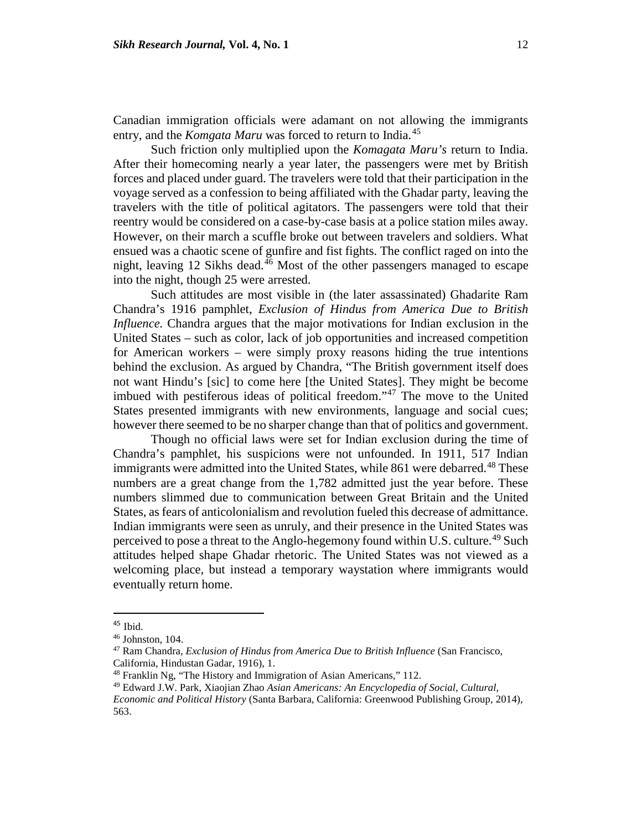Canadian immigration officials were adamant on not allowing the immigrants entry, and the *Komgata Maru* was forced to return to India.<sup>[45](#page-12-0)</sup>

Such friction only multiplied upon the *Komagata Maru's* return to India. After their homecoming nearly a year later, the passengers were met by British forces and placed under guard. The travelers were told that their participation in the voyage served as a confession to being affiliated with the Ghadar party, leaving the travelers with the title of political agitators. The passengers were told that their reentry would be considered on a case-by-case basis at a police station miles away. However, on their march a scuffle broke out between travelers and soldiers. What ensued was a chaotic scene of gunfire and fist fights. The conflict raged on into the night, leaving 12 Sikhs dead. $46$  Most of the other passengers managed to escape into the night, though 25 were arrested.

Such attitudes are most visible in (the later assassinated) Ghadarite Ram Chandra's 1916 pamphlet, *Exclusion of Hindus from America Due to British Influence.* Chandra argues that the major motivations for Indian exclusion in the United States – such as color, lack of job opportunities and increased competition for American workers – were simply proxy reasons hiding the true intentions behind the exclusion. As argued by Chandra, "The British government itself does not want Hindu's [sic] to come here [the United States]. They might be become imbued with pestiferous ideas of political freedom."[47](#page-12-2) The move to the United States presented immigrants with new environments, language and social cues; however there seemed to be no sharper change than that of politics and government.

Though no official laws were set for Indian exclusion during the time of Chandra's pamphlet, his suspicions were not unfounded. In 1911, 517 Indian immigrants were admitted into the United States, while 861 were debarred.<sup>[48](#page-12-3)</sup> These numbers are a great change from the 1,782 admitted just the year before. These numbers slimmed due to communication between Great Britain and the United States, as fears of anticolonialism and revolution fueled this decrease of admittance. Indian immigrants were seen as unruly, and their presence in the United States was perceived to pose a threat to the Anglo-hegemony found within U.S. culture.<sup>[49](#page-12-4)</sup> Such attitudes helped shape Ghadar rhetoric. The United States was not viewed as a welcoming place, but instead a temporary waystation where immigrants would eventually return home.

<span id="page-12-0"></span> $45$  Ibid.

<span id="page-12-1"></span><sup>46</sup> Johnston, 104.

<span id="page-12-2"></span><sup>47</sup> Ram Chandra, *Exclusion of Hindus from America Due to British Influence* (San Francisco, California, Hindustan Gadar, 1916), 1.

<sup>&</sup>lt;sup>48</sup> Franklin Ng, "The History and Immigration of Asian Americans," 112.

<span id="page-12-4"></span><span id="page-12-3"></span><sup>49</sup> Edward J.W. Park, Xiaojian Zhao *Asian Americans: An Encyclopedia of Social, Cultural, Economic and Political History* (Santa Barbara, California: Greenwood Publishing Group, 2014),

<sup>563.</sup>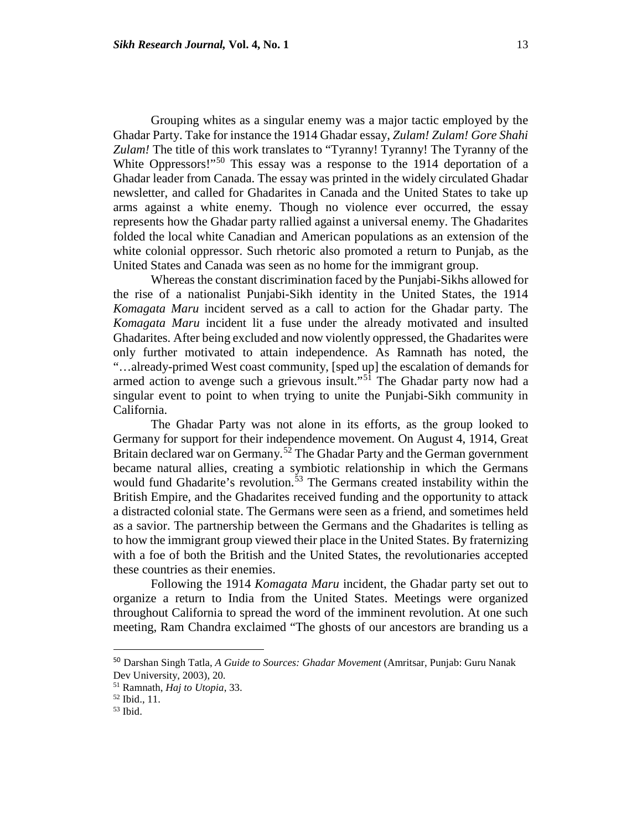Grouping whites as a singular enemy was a major tactic employed by the Ghadar Party. Take for instance the 1914 Ghadar essay, *Zulam! Zulam! Gore Shahi Zulam!* The title of this work translates to "Tyranny! Tyranny! The Tyranny of the White Oppressors!"<sup>[50](#page-13-0)</sup> This essay was a response to the 1914 deportation of a Ghadar leader from Canada. The essay was printed in the widely circulated Ghadar newsletter, and called for Ghadarites in Canada and the United States to take up arms against a white enemy. Though no violence ever occurred, the essay represents how the Ghadar party rallied against a universal enemy. The Ghadarites folded the local white Canadian and American populations as an extension of the white colonial oppressor. Such rhetoric also promoted a return to Punjab, as the United States and Canada was seen as no home for the immigrant group.

Whereas the constant discrimination faced by the Punjabi-Sikhs allowed for the rise of a nationalist Punjabi-Sikh identity in the United States, the 1914 *Komagata Maru* incident served as a call to action for the Ghadar party. The *Komagata Maru* incident lit a fuse under the already motivated and insulted Ghadarites. After being excluded and now violently oppressed, the Ghadarites were only further motivated to attain independence. As Ramnath has noted, the "…already-primed West coast community, [sped up] the escalation of demands for armed action to avenge such a grievous insult."[51](#page-13-1) The Ghadar party now had a singular event to point to when trying to unite the Punjabi-Sikh community in California.

The Ghadar Party was not alone in its efforts, as the group looked to Germany for support for their independence movement. On August 4, 1914, Great Britain declared war on Germany.<sup>[52](#page-13-2)</sup> The Ghadar Party and the German government became natural allies, creating a symbiotic relationship in which the Germans would fund Ghadarite's revolution.<sup>[53](#page-13-3)</sup> The Germans created instability within the British Empire, and the Ghadarites received funding and the opportunity to attack a distracted colonial state. The Germans were seen as a friend, and sometimes held as a savior. The partnership between the Germans and the Ghadarites is telling as to how the immigrant group viewed their place in the United States. By fraternizing with a foe of both the British and the United States, the revolutionaries accepted these countries as their enemies.

Following the 1914 *Komagata Maru* incident, the Ghadar party set out to organize a return to India from the United States. Meetings were organized throughout California to spread the word of the imminent revolution. At one such meeting, Ram Chandra exclaimed "The ghosts of our ancestors are branding us a

<span id="page-13-0"></span> <sup>50</sup> Darshan Singh Tatla, *A Guide to Sources: Ghadar Movement* (Amritsar, Punjab: Guru Nanak Dev University, 2003), 20.

<span id="page-13-1"></span><sup>51</sup> Ramnath, *Haj to Utopia*, 33.

<span id="page-13-2"></span> $\frac{52 \text{ Ibid., } 11.}{53 \text{ Ibid.}}$ 

<span id="page-13-3"></span>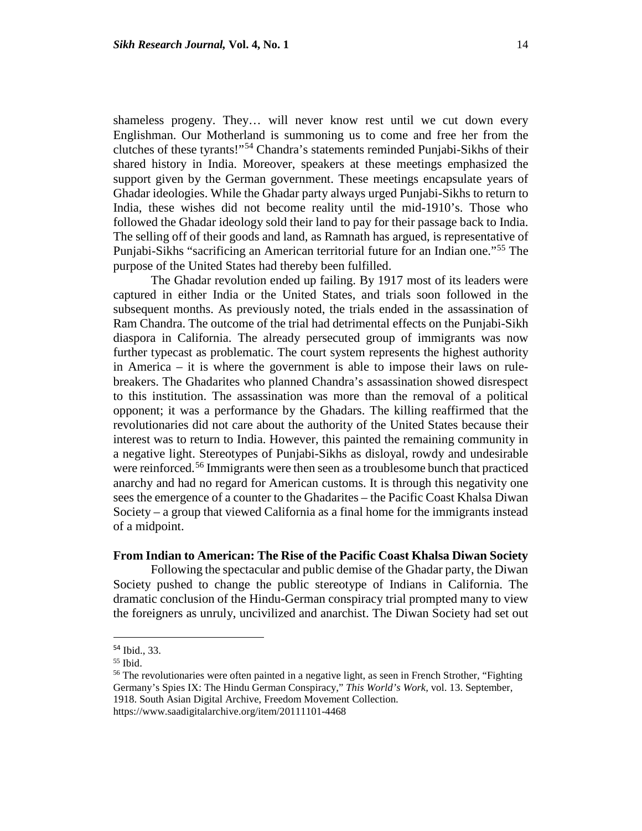shameless progeny. They… will never know rest until we cut down every Englishman. Our Motherland is summoning us to come and free her from the clutches of these tyrants!"[54](#page-14-0) Chandra's statements reminded Punjabi-Sikhs of their shared history in India. Moreover, speakers at these meetings emphasized the support given by the German government. These meetings encapsulate years of Ghadar ideologies. While the Ghadar party always urged Punjabi-Sikhs to return to India, these wishes did not become reality until the mid-1910's. Those who followed the Ghadar ideology sold their land to pay for their passage back to India. The selling off of their goods and land, as Ramnath has argued, is representative of Punjabi-Sikhs "sacrificing an American territorial future for an Indian one."[55](#page-14-1) The purpose of the United States had thereby been fulfilled.

The Ghadar revolution ended up failing. By 1917 most of its leaders were captured in either India or the United States, and trials soon followed in the subsequent months. As previously noted, the trials ended in the assassination of Ram Chandra. The outcome of the trial had detrimental effects on the Punjabi-Sikh diaspora in California. The already persecuted group of immigrants was now further typecast as problematic. The court system represents the highest authority in America – it is where the government is able to impose their laws on rulebreakers. The Ghadarites who planned Chandra's assassination showed disrespect to this institution. The assassination was more than the removal of a political opponent; it was a performance by the Ghadars. The killing reaffirmed that the revolutionaries did not care about the authority of the United States because their interest was to return to India. However, this painted the remaining community in a negative light. Stereotypes of Punjabi-Sikhs as disloyal, rowdy and undesirable were reinforced.<sup>[56](#page-14-2)</sup> Immigrants were then seen as a troublesome bunch that practiced anarchy and had no regard for American customs. It is through this negativity one sees the emergence of a counter to the Ghadarites – the Pacific Coast Khalsa Diwan Society – a group that viewed California as a final home for the immigrants instead of a midpoint.

#### **From Indian to American: The Rise of the Pacific Coast Khalsa Diwan Society**

Following the spectacular and public demise of the Ghadar party, the Diwan Society pushed to change the public stereotype of Indians in California. The dramatic conclusion of the Hindu-German conspiracy trial prompted many to view the foreigners as unruly, uncivilized and anarchist. The Diwan Society had set out

<span id="page-14-0"></span> <sup>54</sup> Ibid., 33.

 $55$  Ibid.

<span id="page-14-2"></span><span id="page-14-1"></span><sup>&</sup>lt;sup>56</sup> The revolutionaries were often painted in a negative light, as seen in French Strother, "Fighting" Germany's Spies IX: The Hindu German Conspiracy," *This World's Work,* vol. 13. September, 1918. South Asian Digital Archive, Freedom Movement Collection.

https://www.saadigitalarchive.org/item/20111101-4468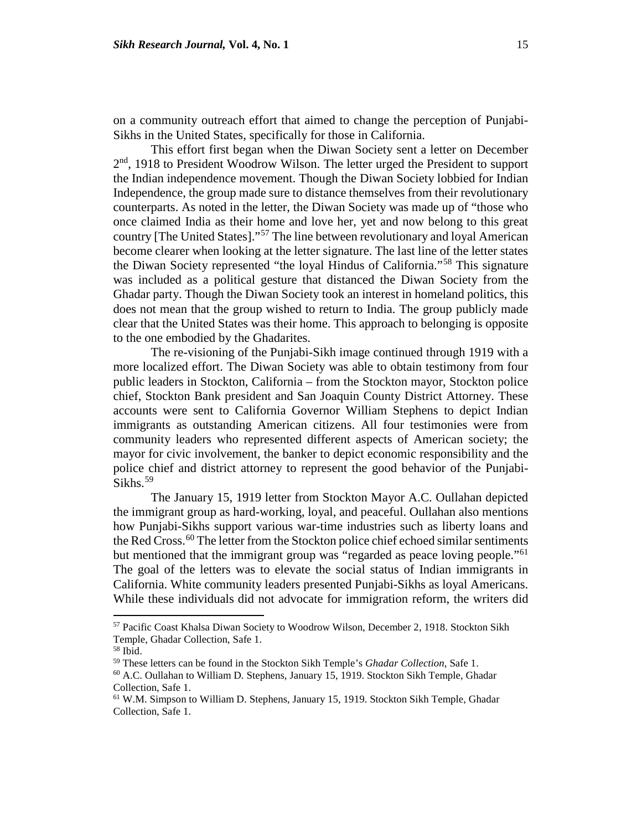on a community outreach effort that aimed to change the perception of Punjabi-Sikhs in the United States, specifically for those in California.

This effort first began when the Diwan Society sent a letter on December 2<sup>nd</sup>, 1918 to President Woodrow Wilson. The letter urged the President to support the Indian independence movement. Though the Diwan Society lobbied for Indian Independence, the group made sure to distance themselves from their revolutionary counterparts. As noted in the letter, the Diwan Society was made up of "those who once claimed India as their home and love her, yet and now belong to this great country [The United States]."[57](#page-15-0) The line between revolutionary and loyal American become clearer when looking at the letter signature. The last line of the letter states the Diwan Society represented "the loyal Hindus of California."[58](#page-15-1) This signature was included as a political gesture that distanced the Diwan Society from the Ghadar party. Though the Diwan Society took an interest in homeland politics, this does not mean that the group wished to return to India. The group publicly made clear that the United States was their home. This approach to belonging is opposite to the one embodied by the Ghadarites.

The re-visioning of the Punjabi-Sikh image continued through 1919 with a more localized effort. The Diwan Society was able to obtain testimony from four public leaders in Stockton, California – from the Stockton mayor, Stockton police chief, Stockton Bank president and San Joaquin County District Attorney. These accounts were sent to California Governor William Stephens to depict Indian immigrants as outstanding American citizens. All four testimonies were from community leaders who represented different aspects of American society; the mayor for civic involvement, the banker to depict economic responsibility and the police chief and district attorney to represent the good behavior of the Punjabi-Sikhs.<sup>[59](#page-15-2)</sup>

The January 15, 1919 letter from Stockton Mayor A.C. Oullahan depicted the immigrant group as hard-working, loyal, and peaceful. Oullahan also mentions how Punjabi-Sikhs support various war-time industries such as liberty loans and the Red Cross.<sup>[60](#page-15-3)</sup> The letter from the Stockton police chief echoed similar sentiments but mentioned that the immigrant group was "regarded as peace loving people."<sup>[61](#page-15-4)</sup> The goal of the letters was to elevate the social status of Indian immigrants in California. White community leaders presented Punjabi-Sikhs as loyal Americans. While these individuals did not advocate for immigration reform, the writers did

<span id="page-15-0"></span><sup>57</sup> Pacific Coast Khalsa Diwan Society to Woodrow Wilson, December 2, 1918. Stockton Sikh Temple, Ghadar Collection, Safe 1.

<span id="page-15-1"></span><sup>&</sup>lt;sup>58</sup> Ibid.<br><sup>59</sup> These letters can be found in the Stockton Sikh Temple's *Ghadar Collection*, Safe 1.

<span id="page-15-3"></span><span id="page-15-2"></span><sup>&</sup>lt;sup>60</sup> A.C. Oullahan to William D. Stephens, January 15, 1919. Stockton Sikh Temple, Ghadar Collection, Safe 1.

<span id="page-15-4"></span><sup>61</sup> W.M. Simpson to William D. Stephens*,* January 15, 1919. Stockton Sikh Temple, Ghadar Collection, Safe 1.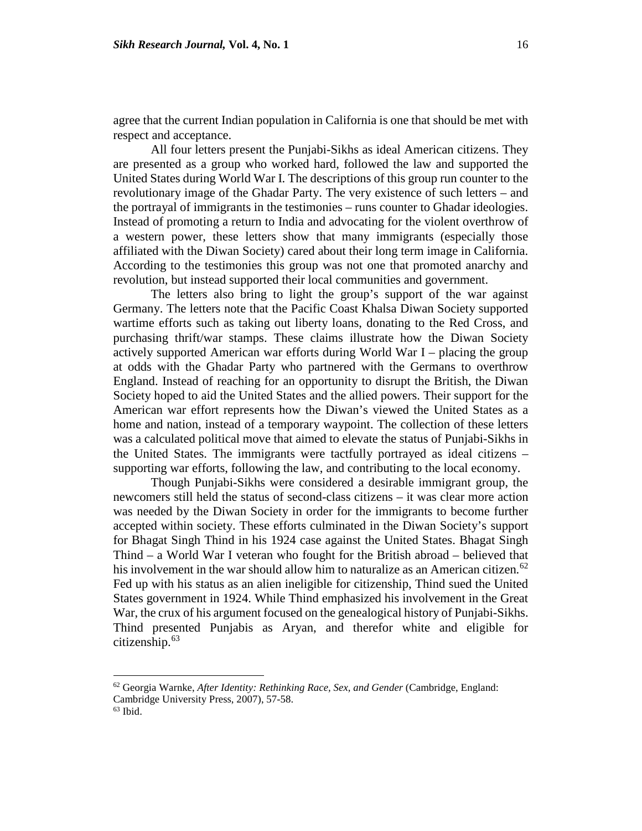agree that the current Indian population in California is one that should be met with respect and acceptance.

All four letters present the Punjabi-Sikhs as ideal American citizens. They are presented as a group who worked hard, followed the law and supported the United States during World War I. The descriptions of this group run counter to the revolutionary image of the Ghadar Party. The very existence of such letters – and the portrayal of immigrants in the testimonies – runs counter to Ghadar ideologies. Instead of promoting a return to India and advocating for the violent overthrow of a western power, these letters show that many immigrants (especially those affiliated with the Diwan Society) cared about their long term image in California. According to the testimonies this group was not one that promoted anarchy and revolution, but instead supported their local communities and government.

The letters also bring to light the group's support of the war against Germany. The letters note that the Pacific Coast Khalsa Diwan Society supported wartime efforts such as taking out liberty loans, donating to the Red Cross, and purchasing thrift/war stamps. These claims illustrate how the Diwan Society actively supported American war efforts during World War I – placing the group at odds with the Ghadar Party who partnered with the Germans to overthrow England. Instead of reaching for an opportunity to disrupt the British, the Diwan Society hoped to aid the United States and the allied powers. Their support for the American war effort represents how the Diwan's viewed the United States as a home and nation, instead of a temporary waypoint. The collection of these letters was a calculated political move that aimed to elevate the status of Punjabi-Sikhs in the United States. The immigrants were tactfully portrayed as ideal citizens – supporting war efforts, following the law, and contributing to the local economy.

Though Punjabi-Sikhs were considered a desirable immigrant group, the newcomers still held the status of second-class citizens – it was clear more action was needed by the Diwan Society in order for the immigrants to become further accepted within society. These efforts culminated in the Diwan Society's support for Bhagat Singh Thind in his 1924 case against the United States. Bhagat Singh Thind – a World War I veteran who fought for the British abroad – believed that his involvement in the war should allow him to naturalize as an American citizen.<sup>[62](#page-16-0)</sup> Fed up with his status as an alien ineligible for citizenship, Thind sued the United States government in 1924. While Thind emphasized his involvement in the Great War, the crux of his argument focused on the genealogical history of Punjabi-Sikhs. Thind presented Punjabis as Aryan, and therefor white and eligible for citizenship. $63$ 

<span id="page-16-0"></span><sup>62</sup> Georgia Warnke, *After Identity: Rethinking Race, Sex, and Gender* (Cambridge, England:

<span id="page-16-1"></span>Cambridge University Press, 2007), 57-58.

<sup>63</sup> Ibid.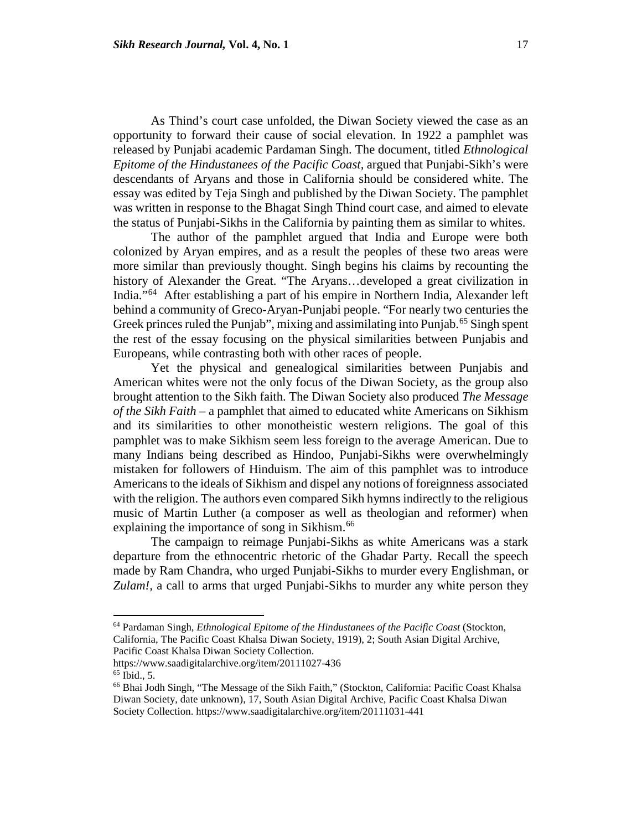As Thind's court case unfolded, the Diwan Society viewed the case as an opportunity to forward their cause of social elevation. In 1922 a pamphlet was released by Punjabi academic Pardaman Singh. The document, titled *Ethnological Epitome of the Hindustanees of the Pacific Coast,* argued that Punjabi-Sikh's were descendants of Aryans and those in California should be considered white. The essay was edited by Teja Singh and published by the Diwan Society. The pamphlet was written in response to the Bhagat Singh Thind court case, and aimed to elevate the status of Punjabi-Sikhs in the California by painting them as similar to whites.

The author of the pamphlet argued that India and Europe were both colonized by Aryan empires, and as a result the peoples of these two areas were more similar than previously thought. Singh begins his claims by recounting the history of Alexander the Great. "The Aryans…developed a great civilization in India."[64](#page-17-0) After establishing a part of his empire in Northern India, Alexander left behind a community of Greco-Aryan-Punjabi people. "For nearly two centuries the Greek princes ruled the Punjab", mixing and assimilating into Punjab.<sup>[65](#page-17-1)</sup> Singh spent the rest of the essay focusing on the physical similarities between Punjabis and Europeans, while contrasting both with other races of people.

Yet the physical and genealogical similarities between Punjabis and American whites were not the only focus of the Diwan Society, as the group also brought attention to the Sikh faith. The Diwan Society also produced *The Message of the Sikh Faith* – a pamphlet that aimed to educated white Americans on Sikhism and its similarities to other monotheistic western religions. The goal of this pamphlet was to make Sikhism seem less foreign to the average American. Due to many Indians being described as Hindoo, Punjabi-Sikhs were overwhelmingly mistaken for followers of Hinduism. The aim of this pamphlet was to introduce Americans to the ideals of Sikhism and dispel any notions of foreignness associated with the religion. The authors even compared Sikh hymns indirectly to the religious music of Martin Luther (a composer as well as theologian and reformer) when explaining the importance of song in Sikhism.<sup>[66](#page-17-2)</sup>

The campaign to reimage Punjabi-Sikhs as white Americans was a stark departure from the ethnocentric rhetoric of the Ghadar Party. Recall the speech made by Ram Chandra, who urged Punjabi-Sikhs to murder every Englishman, or *Zulam!,* a call to arms that urged Punjabi-Sikhs to murder any white person they

<span id="page-17-0"></span><sup>64</sup> Pardaman Singh, *Ethnological Epitome of the Hindustanees of the Pacific Coast* (Stockton, California, The Pacific Coast Khalsa Diwan Society, 1919), 2; South Asian Digital Archive, Pacific Coast Khalsa Diwan Society Collection.

https://www.saadigitalarchive.org/item/20111027-436 65 Ibid., 5.

<span id="page-17-2"></span><span id="page-17-1"></span><sup>66</sup> Bhai Jodh Singh, "The Message of the Sikh Faith," (Stockton, California: Pacific Coast Khalsa Diwan Society, date unknown), 17, South Asian Digital Archive, Pacific Coast Khalsa Diwan Society Collection. https://www.saadigitalarchive.org/item/20111031-441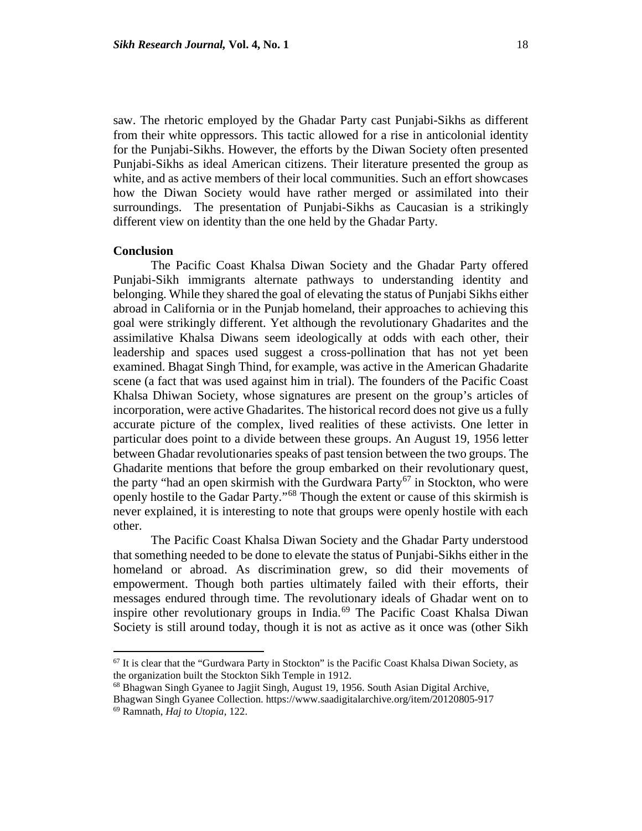saw. The rhetoric employed by the Ghadar Party cast Punjabi-Sikhs as different from their white oppressors. This tactic allowed for a rise in anticolonial identity for the Punjabi-Sikhs. However, the efforts by the Diwan Society often presented Punjabi-Sikhs as ideal American citizens. Their literature presented the group as white, and as active members of their local communities. Such an effort showcases how the Diwan Society would have rather merged or assimilated into their surroundings. The presentation of Punjabi-Sikhs as Caucasian is a strikingly different view on identity than the one held by the Ghadar Party.

#### **Conclusion**

 $\overline{\phantom{a}}$ 

The Pacific Coast Khalsa Diwan Society and the Ghadar Party offered Punjabi-Sikh immigrants alternate pathways to understanding identity and belonging. While they shared the goal of elevating the status of Punjabi Sikhs either abroad in California or in the Punjab homeland, their approaches to achieving this goal were strikingly different. Yet although the revolutionary Ghadarites and the assimilative Khalsa Diwans seem ideologically at odds with each other, their leadership and spaces used suggest a cross-pollination that has not yet been examined. Bhagat Singh Thind, for example, was active in the American Ghadarite scene (a fact that was used against him in trial). The founders of the Pacific Coast Khalsa Dhiwan Society, whose signatures are present on the group's articles of incorporation, were active Ghadarites. The historical record does not give us a fully accurate picture of the complex, lived realities of these activists. One letter in particular does point to a divide between these groups. An August 19, 1956 letter between Ghadar revolutionaries speaks of past tension between the two groups. The Ghadarite mentions that before the group embarked on their revolutionary quest, the party "had an open skirmish with the Gurdwara Party<sup>[67](#page-18-0)</sup> in Stockton, who were openly hostile to the Gadar Party."[68](#page-18-1) Though the extent or cause of this skirmish is never explained, it is interesting to note that groups were openly hostile with each other.

The Pacific Coast Khalsa Diwan Society and the Ghadar Party understood that something needed to be done to elevate the status of Punjabi-Sikhs either in the homeland or abroad. As discrimination grew, so did their movements of empowerment. Though both parties ultimately failed with their efforts, their messages endured through time. The revolutionary ideals of Ghadar went on to inspire other revolutionary groups in India.<sup>[69](#page-18-2)</sup> The Pacific Coast Khalsa Diwan Society is still around today, though it is not as active as it once was (other Sikh

<span id="page-18-0"></span> $67$  It is clear that the "Gurdwara Party in Stockton" is the Pacific Coast Khalsa Diwan Society, as the organization built the Stockton Sikh Temple in 1912.

<span id="page-18-1"></span><sup>&</sup>lt;sup>68</sup> Bhagwan Singh Gyanee to Jagjit Singh, August 19, 1956. South Asian Digital Archive,

<span id="page-18-2"></span>Bhagwan Singh Gyanee Collection. https://www.saadigitalarchive.org/item/20120805-917 69 Ramnath, *Haj to Utopia*, 122.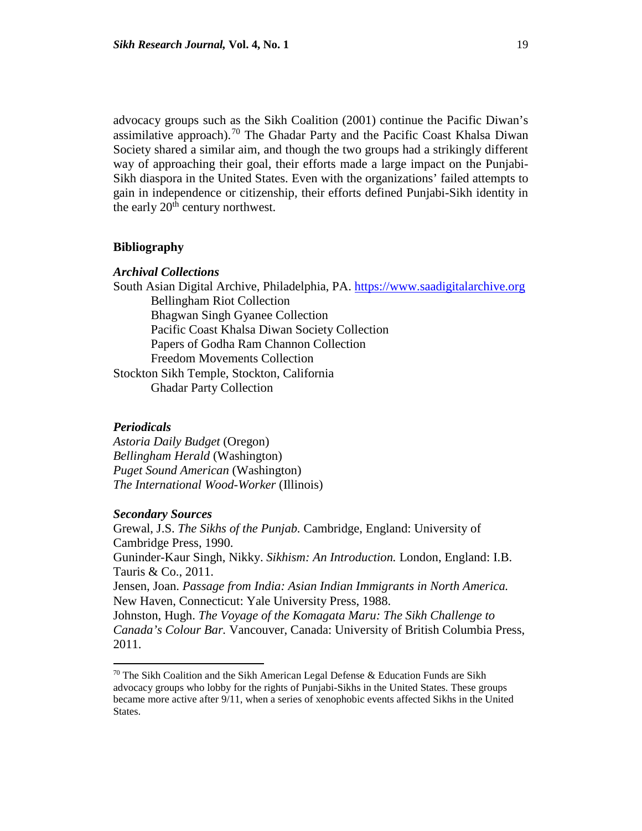advocacy groups such as the Sikh Coalition (2001) continue the Pacific Diwan's assimilative approach).<sup>[70](#page-19-0)</sup> The Ghadar Party and the Pacific Coast Khalsa Diwan Society shared a similar aim, and though the two groups had a strikingly different way of approaching their goal, their efforts made a large impact on the Punjabi-Sikh diaspora in the United States. Even with the organizations' failed attempts to gain in independence or citizenship, their efforts defined Punjabi-Sikh identity in the early  $20<sup>th</sup>$  century northwest.

#### **Bibliography**

#### *Archival Collections*

South Asian Digital Archive, Philadelphia, PA. [https://www.saadigitalarchive.org](https://www.saadigitalarchive.org/) Bellingham Riot Collection Bhagwan Singh Gyanee Collection Pacific Coast Khalsa Diwan Society Collection Papers of Godha Ram Channon Collection Freedom Movements Collection Stockton Sikh Temple, Stockton, California Ghadar Party Collection

#### *Periodicals*

l

*Astoria Daily Budget* (Oregon) *Bellingham Herald* (Washington) *Puget Sound American* (Washington) *The International Wood-Worker* (Illinois)

### *Secondary Sources*

Grewal, J.S. *The Sikhs of the Punjab.* Cambridge, England: University of Cambridge Press, 1990. Guninder-Kaur Singh, Nikky. *Sikhism: An Introduction.* London, England: I.B. Tauris & Co., 2011. Jensen, Joan. *Passage from India: Asian Indian Immigrants in North America.* New Haven, Connecticut: Yale University Press, 1988. Johnston, Hugh. *The Voyage of the Komagata Maru: The Sikh Challenge to Canada's Colour Bar.* Vancouver, Canada: University of British Columbia Press, 2011.

<span id="page-19-0"></span> $70$  The Sikh Coalition and the Sikh American Legal Defense & Education Funds are Sikh advocacy groups who lobby for the rights of Punjabi-Sikhs in the United States. These groups became more active after 9/11, when a series of xenophobic events affected Sikhs in the United States.